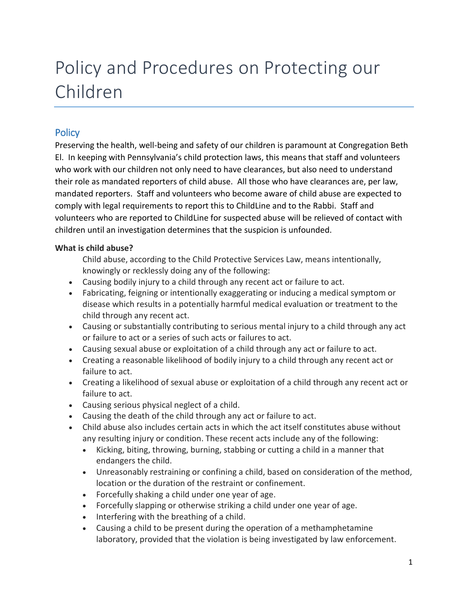# Policy and Procedures on Protecting our Children

# **Policy**

Preserving the health, well-being and safety of our children is paramount at Congregation Beth El. In keeping with Pennsylvania's child protection laws, this means that staff and volunteers who work with our children not only need to have clearances, but also need to understand their role as mandated reporters of child abuse. All those who have clearances are, per law, mandated reporters. Staff and volunteers who become aware of child abuse are expected to comply with legal requirements to report this to ChildLine and to the Rabbi. Staff and volunteers who are reported to ChildLine for suspected abuse will be relieved of contact with children until an investigation determines that the suspicion is unfounded.

# **What is child abuse?**

Child abuse, according to the Child Protective Services Law, means intentionally, knowingly or recklessly doing any of the following:

- Causing bodily injury to a child through any recent act or failure to act.
- Fabricating, feigning or intentionally exaggerating or inducing a medical symptom or disease which results in a potentially harmful medical evaluation or treatment to the child through any recent act.
- Causing or substantially contributing to serious mental injury to a child through any act or failure to act or a series of such acts or failures to act.
- Causing sexual abuse or exploitation of a child through any act or failure to act.
- Creating a reasonable likelihood of bodily injury to a child through any recent act or failure to act.
- Creating a likelihood of sexual abuse or exploitation of a child through any recent act or failure to act.
- Causing serious physical neglect of a child.
- Causing the death of the child through any act or failure to act.
- Child abuse also includes certain acts in which the act itself constitutes abuse without any resulting injury or condition. These recent acts include any of the following:
	- Kicking, biting, throwing, burning, stabbing or cutting a child in a manner that endangers the child.
	- Unreasonably restraining or confining a child, based on consideration of the method, location or the duration of the restraint or confinement.
	- Forcefully shaking a child under one year of age.
	- Forcefully slapping or otherwise striking a child under one year of age.
	- Interfering with the breathing of a child.
	- Causing a child to be present during the operation of a methamphetamine laboratory, provided that the violation is being investigated by law enforcement.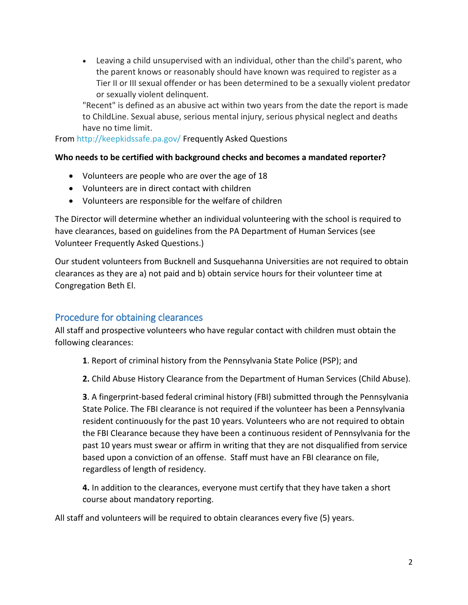Leaving a child unsupervised with an individual, other than the child's parent, who the parent knows or reasonably should have known was required to register as a Tier II or III sexual offender or has been determined to be a sexually violent predator or sexually violent delinquent.

"Recent" is defined as an abusive act within two years from the date the report is made to ChildLine. Sexual abuse, serious mental injury, serious physical neglect and deaths have no time limit.

From<http://keepkidssafe.pa.gov/> Frequently Asked Questions

## **Who needs to be certified with background checks and becomes a mandated reporter?**

- Volunteers are people who are over the age of 18
- Volunteers are in direct contact with children
- Volunteers are responsible for the welfare of children

The Director will determine whether an individual volunteering with the school is required to have clearances, based on guidelines from the PA Department of Human Services (see Volunteer Frequently Asked Questions.)

Our student volunteers from Bucknell and Susquehanna Universities are not required to obtain clearances as they are a) not paid and b) obtain service hours for their volunteer time at Congregation Beth El.

# Procedure for obtaining clearances

All staff and prospective volunteers who have regular contact with children must obtain the following clearances:

- **1**. Report of criminal history from the Pennsylvania State Police (PSP); and
- **2.** Child Abuse History Clearance from the Department of Human Services (Child Abuse).

**3**. A fingerprint-based federal criminal history (FBI) submitted through the Pennsylvania State Police. The FBI clearance is not required if the volunteer has been a Pennsylvania resident continuously for the past 10 years. Volunteers who are not required to obtain the FBI Clearance because they have been a continuous resident of Pennsylvania for the past 10 years must swear or affirm in writing that they are not disqualified from service based upon a conviction of an offense. Staff must have an FBI clearance on file, regardless of length of residency.

**4.** In addition to the clearances, everyone must certify that they have taken a short course about mandatory reporting.

All staff and volunteers will be required to obtain clearances every five (5) years.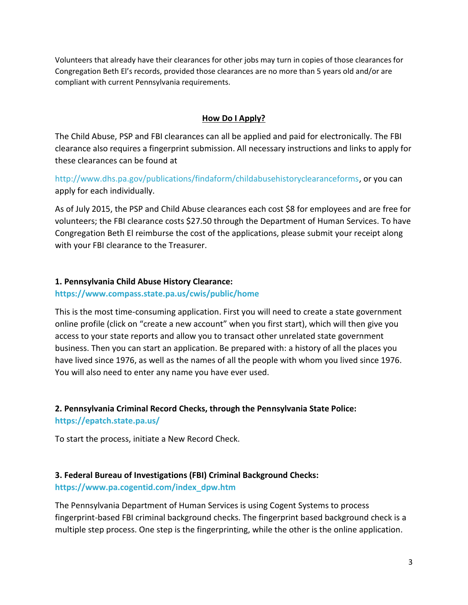Volunteers that already have their clearances for other jobs may turn in copies of those clearances for Congregation Beth El's records, provided those clearances are no more than 5 years old and/or are compliant with current Pennsylvania requirements.

## **How Do I Apply?**

The Child Abuse, PSP and FBI clearances can all be applied and paid for electronically. The FBI clearance also requires a fingerprint submission. All necessary instructions and links to apply for these clearances can be found at

[http://www.dhs.pa.gov/publications/findaform/childabusehistoryclearanceforms,](http://www.dhs.pa.gov/publications/findaform/childabusehistoryclearanceforms) or you can apply for each individually.

As of July 2015, the PSP and Child Abuse clearances each cost \$8 for employees and are free for volunteers; the FBI clearance costs \$27.50 through the Department of Human Services. To have Congregation Beth El reimburse the cost of the applications, please submit your receipt along with your FBI clearance to the Treasurer.

## **1. Pennsylvania Child Abuse History Clearance:**

#### **<https://www.compass.state.pa.us/cwis/public/home>**

This is the most time-consuming application. First you will need to create a state government online profile (click on "create a new account" when you first start), which will then give you access to your state reports and allow you to transact other unrelated state government business. Then you can start an application. Be prepared with: a history of all the places you have lived since 1976, as well as the names of all the people with whom you lived since 1976. You will also need to enter any name you have ever used.

## **2. Pennsylvania Criminal Record Checks, through the Pennsylvania State Police:**

**<https://epatch.state.pa.us/>**

To start the process, initiate a New Record Check.

## **3. Federal Bureau of Investigations (FBI) Criminal Background Checks:**

## **[https://www.pa.cogentid.com/index\\_dpw.htm](https://www.pa.cogentid.com/index_dpw.htm)**

The Pennsylvania Department of Human Services is using Cogent Systems to process fingerprint-based FBI criminal background checks. The fingerprint based background check is a multiple step process. One step is the fingerprinting, while the other is the online application.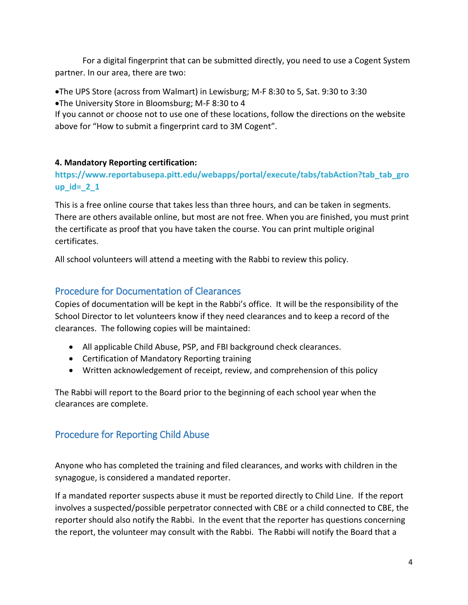For a digital fingerprint that can be submitted directly, you need to use a Cogent System partner. In our area, there are two:

The UPS Store (across from Walmart) in Lewisburg; M-F 8:30 to 5, Sat. 9:30 to 3:30 The University Store in Bloomsburg; M-F 8:30 to 4

If you cannot or choose not to use one of these locations, follow the directions on the website above for "How to submit a fingerprint card to 3M Cogent".

## **4. Mandatory Reporting certification:**

**[https://www.reportabusepa.pitt.edu/webapps/portal/execute/tabs/tabAction?tab\\_tab\\_gro](https://www.reportabusepa.pitt.edu/webapps/portal/execute/tabs/tabAction?tab_tab_group_id=_2_1) [up\\_id=\\_2\\_1](https://www.reportabusepa.pitt.edu/webapps/portal/execute/tabs/tabAction?tab_tab_group_id=_2_1)**

This is a free online course that takes less than three hours, and can be taken in segments. There are others available online, but most are not free. When you are finished, you must print the certificate as proof that you have taken the course. You can print multiple original certificates.

All school volunteers will attend a meeting with the Rabbi to review this policy.

## Procedure for Documentation of Clearances

Copies of documentation will be kept in the Rabbi's office. It will be the responsibility of the School Director to let volunteers know if they need clearances and to keep a record of the clearances. The following copies will be maintained:

- All applicable Child Abuse, PSP, and FBI background check clearances.
- Certification of Mandatory Reporting training
- Written acknowledgement of receipt, review, and comprehension of this policy

The Rabbi will report to the Board prior to the beginning of each school year when the clearances are complete.

# Procedure for Reporting Child Abuse

Anyone who has completed the training and filed clearances, and works with children in the synagogue, is considered a mandated reporter.

If a mandated reporter suspects abuse it must be reported directly to Child Line. If the report involves a suspected/possible perpetrator connected with CBE or a child connected to CBE, the reporter should also notify the Rabbi. In the event that the reporter has questions concerning the report, the volunteer may consult with the Rabbi. The Rabbi will notify the Board that a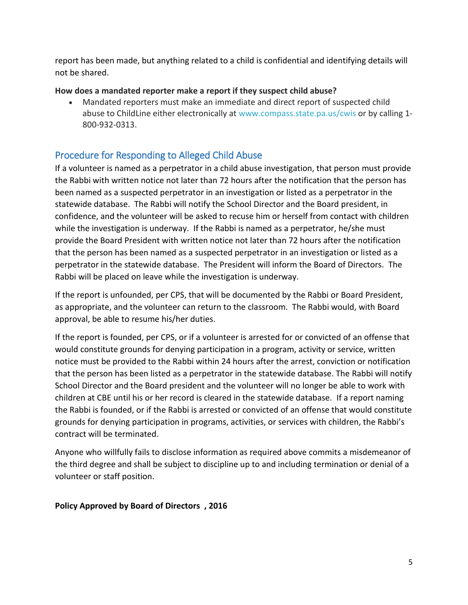report has been made, but anything related to a child is confidential and identifying details will not be shared.

## **How does a mandated reporter make a report if they suspect child abuse?**

 Mandated reporters must make an immediate and direct report of suspected child abuse to ChildLine either electronically at [www.compass.state.pa.us/cwis](http://www.compass.state.pa.us/cwis) or by calling 1-800-932-0313.

# Procedure for Responding to Alleged Child Abuse

If a volunteer is named as a perpetrator in a child abuse investigation, that person must provide the Rabbi with written notice not later than 72 hours after the notification that the person has been named as a suspected perpetrator in an investigation or listed as a perpetrator in the statewide database. The Rabbi will notify the School Director and the Board president, in confidence, and the volunteer will be asked to recuse him or herself from contact with children while the investigation is underway. If the Rabbi is named as a perpetrator, he/she must provide the Board President with written notice not later than 72 hours after the notification that the person has been named as a suspected perpetrator in an investigation or listed as a perpetrator in the statewide database. The President will inform the Board of Directors. The Rabbi will be placed on leave while the investigation is underway.

If the report is unfounded, per CPS, that will be documented by the Rabbi or Board President, as appropriate, and the volunteer can return to the classroom. The Rabbi would, with Board approval, be able to resume his/her duties.

If the report is founded, per CPS, or if a volunteer is arrested for or convicted of an offense that would constitute grounds for denying participation in a program, activity or service, written notice must be provided to the Rabbi within 24 hours after the arrest, conviction or notification that the person has been listed as a perpetrator in the statewide database. The Rabbi will notify School Director and the Board president and the volunteer will no longer be able to work with children at CBE until his or her record is cleared in the statewide database. If a report naming the Rabbi is founded, or if the Rabbi is arrested or convicted of an offense that would constitute grounds for denying participation in programs, activities, or services with children, the Rabbi's contract will be terminated.

Anyone who willfully fails to disclose information as required above commits a misdemeanor of the third degree and shall be subject to discipline up to and including termination or denial of a volunteer or staff position.

## **Policy Approved by Board of Directors , 2016**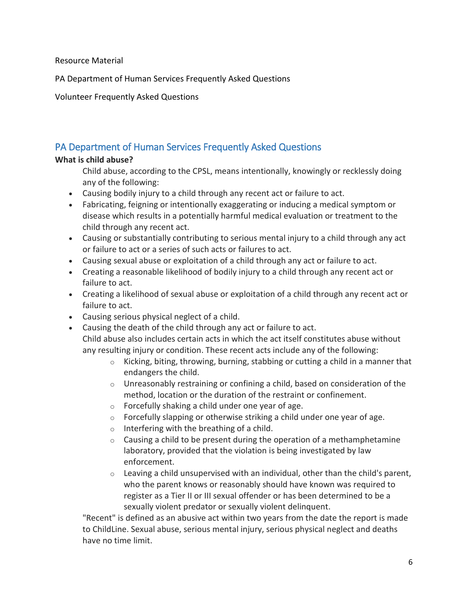Resource Material

PA Department of Human Services Frequently Asked Questions

Volunteer Frequently Asked Questions

# PA Department of Human Services Frequently Asked Questions

## **What is child abuse?**

Child abuse, according to the CPSL, means intentionally, knowingly or recklessly doing any of the following:

- Causing bodily injury to a child through any recent act or failure to act.
- Fabricating, feigning or intentionally exaggerating or inducing a medical symptom or disease which results in a potentially harmful medical evaluation or treatment to the child through any recent act.
- Causing or substantially contributing to serious mental injury to a child through any act or failure to act or a series of such acts or failures to act.
- Causing sexual abuse or exploitation of a child through any act or failure to act.
- Creating a reasonable likelihood of bodily injury to a child through any recent act or failure to act.
- Creating a likelihood of sexual abuse or exploitation of a child through any recent act or failure to act.
- Causing serious physical neglect of a child.
- Causing the death of the child through any act or failure to act.

Child abuse also includes certain acts in which the act itself constitutes abuse without any resulting injury or condition. These recent acts include any of the following:

- $\circ$  Kicking, biting, throwing, burning, stabbing or cutting a child in a manner that endangers the child.
- $\circ$  Unreasonably restraining or confining a child, based on consideration of the method, location or the duration of the restraint or confinement.
- o Forcefully shaking a child under one year of age.
- $\circ$  Forcefully slapping or otherwise striking a child under one year of age.
- $\circ$  Interfering with the breathing of a child.
- $\circ$  Causing a child to be present during the operation of a methamphetamine laboratory, provided that the violation is being investigated by law enforcement.
- $\circ$  Leaving a child unsupervised with an individual, other than the child's parent, who the parent knows or reasonably should have known was required to register as a Tier II or III sexual offender or has been determined to be a sexually violent predator or sexually violent delinquent.

"Recent" is defined as an abusive act within two years from the date the report is made to ChildLine. Sexual abuse, serious mental injury, serious physical neglect and deaths have no time limit.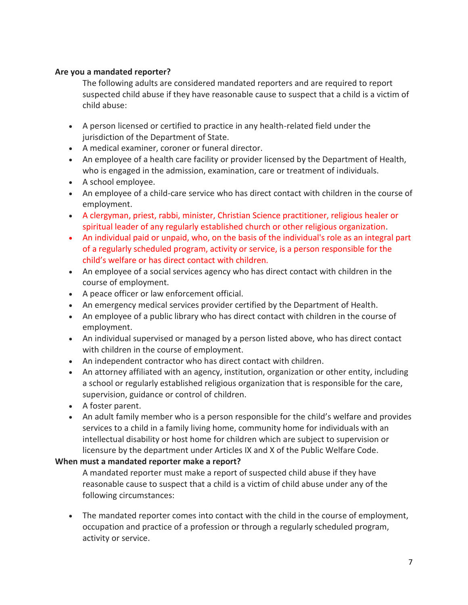#### **Are you a mandated reporter?**

The following adults are considered mandated reporters and are required to report suspected child abuse if they have reasonable cause to suspect that a child is a victim of child abuse:

- A person licensed or certified to practice in any health-related field under the jurisdiction of the Department of State.
- A medical examiner, coroner or funeral director.
- An employee of a health care facility or provider licensed by the Department of Health, who is engaged in the admission, examination, care or treatment of individuals.
- A school employee.
- An employee of a child-care service who has direct contact with children in the course of employment.
- A clergyman, priest, rabbi, minister, Christian Science practitioner, religious healer or spiritual leader of any regularly established church or other religious organization.
- An individual paid or unpaid, who, on the basis of the individual's role as an integral part of a regularly scheduled program, activity or service, is a person responsible for the child's welfare or has direct contact with children.
- An employee of a social services agency who has direct contact with children in the course of employment.
- A peace officer or law enforcement official.
- An emergency medical services provider certified by the Department of Health.
- An employee of a public library who has direct contact with children in the course of employment.
- An individual supervised or managed by a person listed above, who has direct contact with children in the course of employment.
- An independent contractor who has direct contact with children.
- An attorney affiliated with an agency, institution, organization or other entity, including a school or regularly established religious organization that is responsible for the care, supervision, guidance or control of children.
- A foster parent.
- An adult family member who is a person responsible for the child's welfare and provides services to a child in a family living home, community home for individuals with an intellectual disability or host home for children which are subject to supervision or licensure by the department under Articles IX and X of the Public Welfare Code.

## **When must a mandated reporter make a report?**

A mandated reporter must make a report of suspected child abuse if they have reasonable cause to suspect that a child is a victim of child abuse under any of the following circumstances:

 The mandated reporter comes into contact with the child in the course of employment, occupation and practice of a profession or through a regularly scheduled program, activity or service.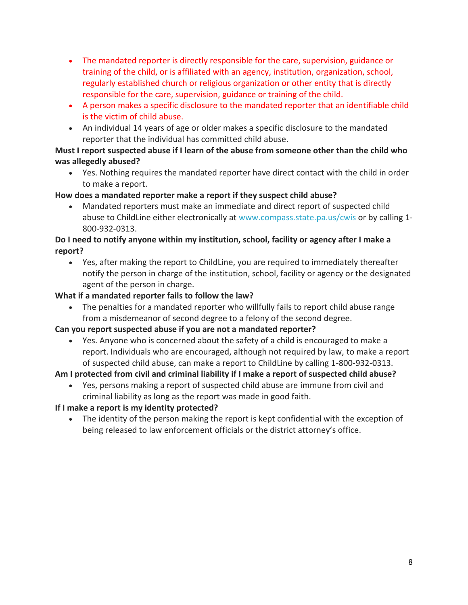- The mandated reporter is directly responsible for the care, supervision, guidance or training of the child, or is affiliated with an agency, institution, organization, school, regularly established church or religious organization or other entity that is directly responsible for the care, supervision, guidance or training of the child.
- A person makes a specific disclosure to the mandated reporter that an identifiable child is the victim of child abuse.
- An individual 14 years of age or older makes a specific disclosure to the mandated reporter that the individual has committed child abuse.

## **Must I report suspected abuse if I learn of the abuse from someone other than the child who was allegedly abused?**

 Yes. Nothing requires the mandated reporter have direct contact with the child in order to make a report.

## **How does a mandated reporter make a report if they suspect child abuse?**

 Mandated reporters must make an immediate and direct report of suspected child abuse to ChildLine either electronically at [www.compass.state.pa.us/cwis](http://www.compass.state.pa.us/cwis) or by calling 1-800-932-0313.

## **Do I need to notify anyone within my institution, school, facility or agency after I make a report?**

 Yes, after making the report to ChildLine, you are required to immediately thereafter notify the person in charge of the institution, school, facility or agency or the designated agent of the person in charge.

## **What if a mandated reporter fails to follow the law?**

 The penalties for a mandated reporter who willfully fails to report child abuse range from a misdemeanor of second degree to a felony of the second degree.

## **Can you report suspected abuse if you are not a mandated reporter?**

 Yes. Anyone who is concerned about the safety of a child is encouraged to make a report. Individuals who are encouraged, although not required by law, to make a report of suspected child abuse, can make a report to ChildLine by calling 1-800-932-0313.

**Am I protected from civil and criminal liability if I make a report of suspected child abuse?** 

 Yes, persons making a report of suspected child abuse are immune from civil and criminal liability as long as the report was made in good faith.

## **If I make a report is my identity protected?**

 The identity of the person making the report is kept confidential with the exception of being released to law enforcement officials or the district attorney's office.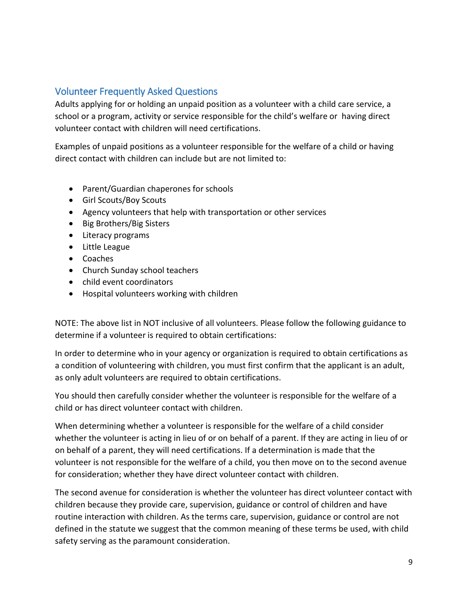# Volunteer Frequently Asked Questions

Adults applying for or holding an unpaid position as a volunteer with a child care service, a school or a program, activity or service responsible for the child's welfare or having direct volunteer contact with children will need certifications.

Examples of unpaid positions as a volunteer responsible for the welfare of a child or having direct contact with children can include but are not limited to:

- Parent/Guardian chaperones for schools
- Girl Scouts/Boy Scouts
- Agency volunteers that help with transportation or other services
- Big Brothers/Big Sisters
- Literacy programs
- Little League
- Coaches
- Church Sunday school teachers
- child event coordinators
- Hospital volunteers working with children

NOTE: The above list in NOT inclusive of all volunteers. Please follow the following guidance to determine if a volunteer is required to obtain certifications:

In order to determine who in your agency or organization is required to obtain certifications as a condition of volunteering with children, you must first confirm that the applicant is an adult, as only adult volunteers are required to obtain certifications.

You should then carefully consider whether the volunteer is responsible for the welfare of a child or has direct volunteer contact with children.

When determining whether a volunteer is responsible for the welfare of a child consider whether the volunteer is acting in lieu of or on behalf of a parent. If they are acting in lieu of or on behalf of a parent, they will need certifications. If a determination is made that the volunteer is not responsible for the welfare of a child, you then move on to the second avenue for consideration; whether they have direct volunteer contact with children.

The second avenue for consideration is whether the volunteer has direct volunteer contact with children because they provide care, supervision, guidance or control of children and have routine interaction with children. As the terms care, supervision, guidance or control are not defined in the statute we suggest that the common meaning of these terms be used, with child safety serving as the paramount consideration.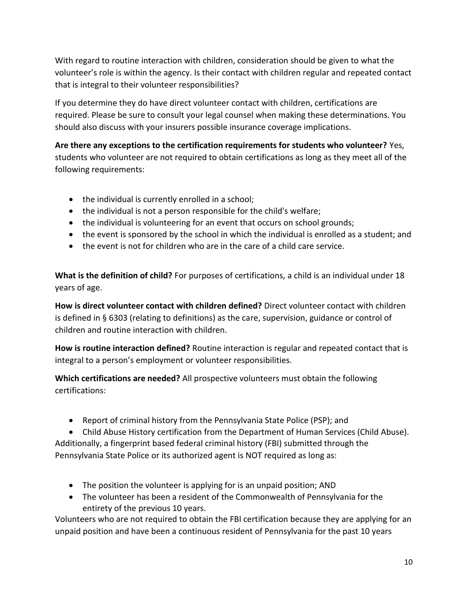With regard to routine interaction with children, consideration should be given to what the volunteer's role is within the agency. Is their contact with children regular and repeated contact that is integral to their volunteer responsibilities?

If you determine they do have direct volunteer contact with children, certifications are required. Please be sure to consult your legal counsel when making these determinations. You should also discuss with your insurers possible insurance coverage implications.

**Are there any exceptions to the certification requirements for students who volunteer?** Yes, students who volunteer are not required to obtain certifications as long as they meet all of the following requirements:

- the individual is currently enrolled in a school;
- the individual is not a person responsible for the child's welfare;
- the individual is volunteering for an event that occurs on school grounds;
- the event is sponsored by the school in which the individual is enrolled as a student; and
- the event is not for children who are in the care of a child care service.

**What is the definition of child?** For purposes of certifications, a child is an individual under 18 years of age.

**How is direct volunteer contact with children defined?** Direct volunteer contact with children is defined in § 6303 (relating to definitions) as the care, supervision, guidance or control of children and routine interaction with children.

**How is routine interaction defined?** Routine interaction is regular and repeated contact that is integral to a person's employment or volunteer responsibilities.

**Which certifications are needed?** All prospective volunteers must obtain the following certifications:

Report of criminal history from the Pennsylvania State Police (PSP); and

 Child Abuse History certification from the Department of Human Services (Child Abuse). Additionally, a fingerprint based federal criminal history (FBI) submitted through the Pennsylvania State Police or its authorized agent is NOT required as long as:

- The position the volunteer is applying for is an unpaid position; AND
- The volunteer has been a resident of the Commonwealth of Pennsylvania for the entirety of the previous 10 years.

Volunteers who are not required to obtain the FBI certification because they are applying for an unpaid position and have been a continuous resident of Pennsylvania for the past 10 years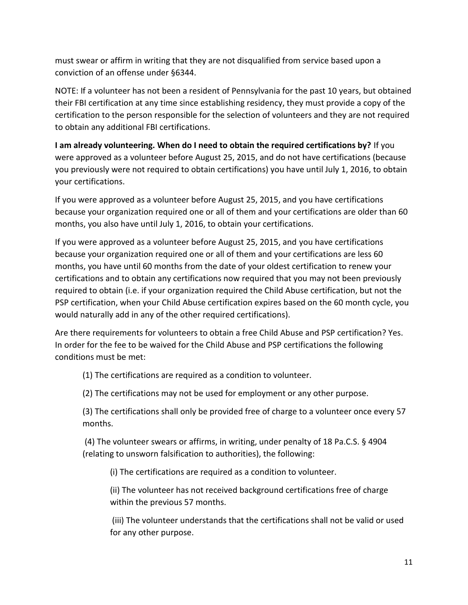must swear or affirm in writing that they are not disqualified from service based upon a conviction of an offense under §6344.

NOTE: If a volunteer has not been a resident of Pennsylvania for the past 10 years, but obtained their FBI certification at any time since establishing residency, they must provide a copy of the certification to the person responsible for the selection of volunteers and they are not required to obtain any additional FBI certifications.

**I am already volunteering. When do I need to obtain the required certifications by?** If you were approved as a volunteer before August 25, 2015, and do not have certifications (because you previously were not required to obtain certifications) you have until July 1, 2016, to obtain your certifications.

If you were approved as a volunteer before August 25, 2015, and you have certifications because your organization required one or all of them and your certifications are older than 60 months, you also have until July 1, 2016, to obtain your certifications.

If you were approved as a volunteer before August 25, 2015, and you have certifications because your organization required one or all of them and your certifications are less 60 months, you have until 60 months from the date of your oldest certification to renew your certifications and to obtain any certifications now required that you may not been previously required to obtain (i.e. if your organization required the Child Abuse certification, but not the PSP certification, when your Child Abuse certification expires based on the 60 month cycle, you would naturally add in any of the other required certifications).

Are there requirements for volunteers to obtain a free Child Abuse and PSP certification? Yes. In order for the fee to be waived for the Child Abuse and PSP certifications the following conditions must be met:

(1) The certifications are required as a condition to volunteer.

(2) The certifications may not be used for employment or any other purpose.

(3) The certifications shall only be provided free of charge to a volunteer once every 57 months.

(4) The volunteer swears or affirms, in writing, under penalty of 18 Pa.C.S. § 4904 (relating to unsworn falsification to authorities), the following:

(i) The certifications are required as a condition to volunteer.

(ii) The volunteer has not received background certifications free of charge within the previous 57 months.

(iii) The volunteer understands that the certifications shall not be valid or used for any other purpose.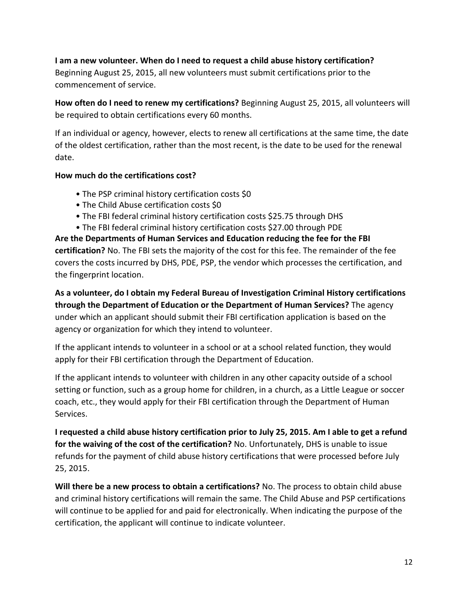## **I am a new volunteer. When do I need to request a child abuse history certification?** Beginning August 25, 2015, all new volunteers must submit certifications prior to the commencement of service.

**How often do I need to renew my certifications?** Beginning August 25, 2015, all volunteers will be required to obtain certifications every 60 months.

If an individual or agency, however, elects to renew all certifications at the same time, the date of the oldest certification, rather than the most recent, is the date to be used for the renewal date.

## **How much do the certifications cost?**

- The PSP criminal history certification costs \$0
- The Child Abuse certification costs \$0
- The FBI federal criminal history certification costs \$25.75 through DHS
- The FBI federal criminal history certification costs \$27.00 through PDE

**Are the Departments of Human Services and Education reducing the fee for the FBI certification?** No. The FBI sets the majority of the cost for this fee. The remainder of the fee covers the costs incurred by DHS, PDE, PSP, the vendor which processes the certification, and the fingerprint location.

**As a volunteer, do I obtain my Federal Bureau of Investigation Criminal History certifications through the Department of Education or the Department of Human Services?** The agency under which an applicant should submit their FBI certification application is based on the agency or organization for which they intend to volunteer.

If the applicant intends to volunteer in a school or at a school related function, they would apply for their FBI certification through the Department of Education.

If the applicant intends to volunteer with children in any other capacity outside of a school setting or function, such as a group home for children, in a church, as a Little League or soccer coach, etc., they would apply for their FBI certification through the Department of Human Services.

**I requested a child abuse history certification prior to July 25, 2015. Am I able to get a refund for the waiving of the cost of the certification?** No. Unfortunately, DHS is unable to issue refunds for the payment of child abuse history certifications that were processed before July 25, 2015.

**Will there be a new process to obtain a certifications?** No. The process to obtain child abuse and criminal history certifications will remain the same. The Child Abuse and PSP certifications will continue to be applied for and paid for electronically. When indicating the purpose of the certification, the applicant will continue to indicate volunteer.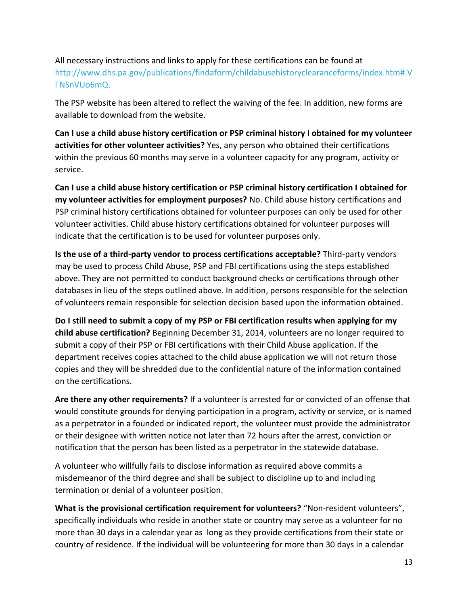# All necessary instructions and links to apply for these certifications can be found at [http://www.dhs.pa.gov/publications/findaform/childabusehistoryclearanceforms/index.htm#.V](http://www.dhs.pa.gov/publications/findaform/childabusehistoryclearanceforms/index.htm%23.Vl%20NSnVUo6mQ.) [l NSnVUo6mQ.](http://www.dhs.pa.gov/publications/findaform/childabusehistoryclearanceforms/index.htm%23.Vl%20NSnVUo6mQ.)

The PSP website has been altered to reflect the waiving of the fee. In addition, new forms are available to download from the website.

**Can I use a child abuse history certification or PSP criminal history I obtained for my volunteer activities for other volunteer activities?** Yes, any person who obtained their certifications within the previous 60 months may serve in a volunteer capacity for any program, activity or service.

**Can I use a child abuse history certification or PSP criminal history certification I obtained for my volunteer activities for employment purposes?** No. Child abuse history certifications and PSP criminal history certifications obtained for volunteer purposes can only be used for other volunteer activities. Child abuse history certifications obtained for volunteer purposes will indicate that the certification is to be used for volunteer purposes only.

**Is the use of a third-party vendor to process certifications acceptable?** Third-party vendors may be used to process Child Abuse, PSP and FBI certifications using the steps established above. They are not permitted to conduct background checks or certifications through other databases in lieu of the steps outlined above. In addition, persons responsible for the selection of volunteers remain responsible for selection decision based upon the information obtained.

**Do I still need to submit a copy of my PSP or FBI certification results when applying for my child abuse certification?** Beginning December 31, 2014, volunteers are no longer required to submit a copy of their PSP or FBI certifications with their Child Abuse application. If the department receives copies attached to the child abuse application we will not return those copies and they will be shredded due to the confidential nature of the information contained on the certifications.

**Are there any other requirements?** If a volunteer is arrested for or convicted of an offense that would constitute grounds for denying participation in a program, activity or service, or is named as a perpetrator in a founded or indicated report, the volunteer must provide the administrator or their designee with written notice not later than 72 hours after the arrest, conviction or notification that the person has been listed as a perpetrator in the statewide database.

A volunteer who willfully fails to disclose information as required above commits a misdemeanor of the third degree and shall be subject to discipline up to and including termination or denial of a volunteer position.

**What is the provisional certification requirement for volunteers?** "Non-resident volunteers", specifically individuals who reside in another state or country may serve as a volunteer for no more than 30 days in a calendar year as long as they provide certifications from their state or country of residence. If the individual will be volunteering for more than 30 days in a calendar